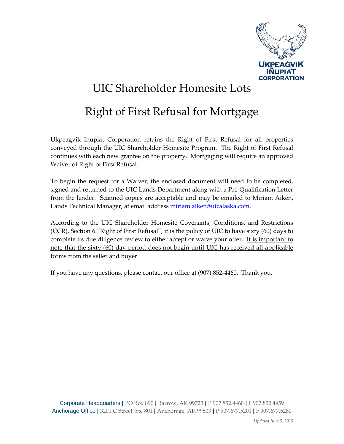

## UIC Shareholder Homesite Lots

## Right of First Refusal for Mortgage

Ukpeagvik Inupiat Corporation retains the Right of First Refusal for all properties conveyed through the UIC Shareholder Homesite Program. The Right of First Refusal continues with each new grantee on the property. Mortgaging will require an approved Waiver of Right of First Refusal.

To begin the request for a Waiver, the enclosed document will need to be completed, signed and returned to the UIC Lands Department along with a Pre-Qualification Letter from the lender. Scanned copies are acceptable and may be emailed to Miriam Aiken, Lands Technical Manager, at email address [miriam.aiken@uicalaska.com.](mailto:miriam.aiken@uicalaska.com)

According to the UIC Shareholder Homesite Covenants, Conditions, and Restrictions (CCR), Section 6 "Right of First Refusal", it is the policy of UIC to have sixty (60) days to complete its due diligence review to either accept or waive your offer. It is important to note that the sixty (60) day period does not begin until UIC has received all applicable forms from the seller and buyer.

If you have any questions, please contact our office at (907) 852-4460. Thank you.